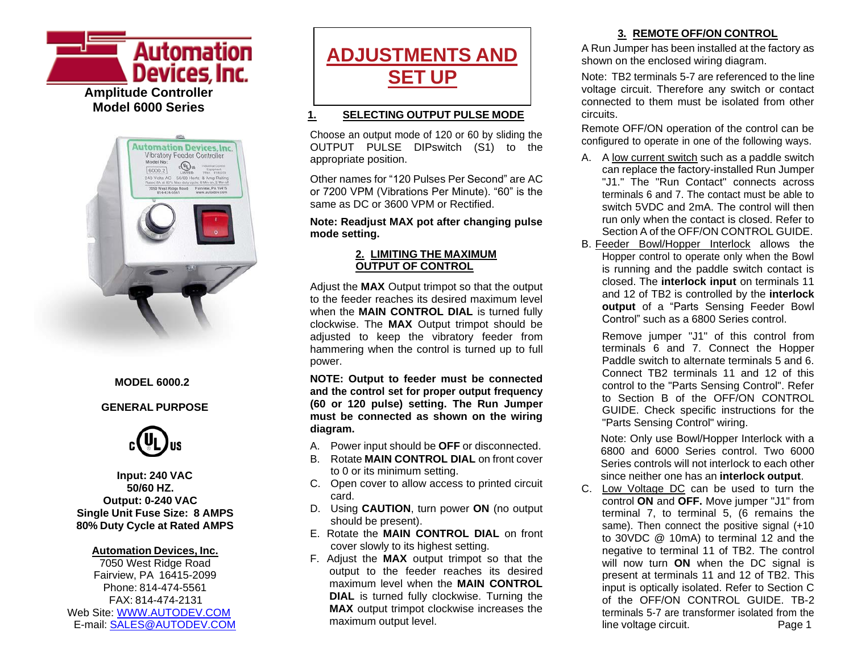**Automation** Devices, Inc. **Amplitude Controller Model 6000 Series**



#### **MODEL 6000.2**

#### **GENERAL PURPOSE**



**Input: 240 VAC 50/60 HZ. Output: 0-240 VAC Single Unit Fuse Size: 8 AMPS 80% Duty Cycle at Rated AMPS**

#### **Automation Devices, Inc.**

7050 West Ridge Road Fairview, PA 16415-2099 Phone: 814-474-5561 FAX: 814-474-2131 Web Site: [WWW.AUTODEV.COM](http://www.autodev.com/) E-mail: [SALES@AUTODEV.COM](mailto:SALES@AUTODEV.COM)



#### **1. SELECTING OUTPUT PULSE MODE**

Choose an output mode of 120 or 60 by sliding the OUTPUT PULSE DIPswitch (S1) to the appropriate position.

Other names for "120 Pulses Per Second" are AC or 7200 VPM (Vibrations Per Minute). "60" is the same as DC or 3600 VPM or Rectified.

**Note: Readjust MAX pot after changing pulse mode setting.**

#### **2. LIMITING THE MAXIMUM OUTPUT OF CONTROL**

Adjust the **MAX** Output trimpot so that the output to the feeder reaches its desired maximum level when the **MAIN CONTROL DIAL** is turned fully clockwise. The **MAX** Output trimpot should be adjusted to keep the vibratory feeder from hammering when the control is turned up to full power.

**NOTE: Output to feeder must be connected and the control set for proper output frequency (60 or 120 pulse) setting. The Run Jumper must be connected as shown on the wiring diagram.**

- A. Power input should be **OFF** or disconnected.
- B. Rotate **MAIN CONTROL DIAL** on front cover to 0 or its minimum setting.
- C. Open cover to allow access to printed circuit card.
- D. Using **CAUTION**, turn power **ON** (no output should be present).
- E. Rotate the **MAIN CONTROL DIAL** on front cover slowly to its highest setting.
- F. Adjust the **MAX** output trimpot so that the output to the feeder reaches its desired maximum level when the **MAIN CONTROL DIAL** is turned fully clockwise. Turning the **MAX** output trimpot clockwise increases the maximum output level.

# **3. REMOTE OFF/ON CONTROL**

A Run Jumper has been installed at the factory as shown on the enclosed wiring diagram.

Note: TB2 terminals 5-7 are referenced to the line voltage circuit. Therefore any switch or contact connected to them must be isolated from other circuits.

Remote OFF/ON operation of the control can be configured to operate in one of the following ways.

- A. A low current switch such as a paddle switch can replace the factory-installed Run Jumper "J1." The "Run Contact" connects across terminals 6 and 7. The contact must be able to switch 5VDC and 2mA. The control will then run only when the contact is closed. Refer to Section A of the OFF/ON CONTROL GUIDE.
- B. Feeder Bowl/Hopper Interlock allows the Hopper control to operate only when the Bowl is running and the paddle switch contact is closed. The **interlock input** on terminals 11 and 12 of TB2 is controlled by the **interlock output** of a "Parts Sensing Feeder Bowl Control" such as a 6800 Series control.

Remove jumper "J1" of this control from terminals 6 and 7. Connect the Hopper Paddle switch to alternate terminals 5 and 6. Connect TB2 terminals 11 and 12 of this control to the "Parts Sensing Control". Refer to Section B of the OFF/ON CONTROL GUIDE. Check specific instructions for the "Parts Sensing Control" wiring.

Note: Only use Bowl/Hopper Interlock with a 6800 and 6000 Series control. Two 6000 Series controls will not interlock to each other since neither one has an **interlock output**.

C. Low Voltage DC can be used to turn the control **ON** and **OFF.** Move jumper "J1" from terminal 7, to terminal 5, (6 remains the same). Then connect the positive signal (+10) to 30VDC @ 10mA) to terminal 12 and the negative to terminal 11 of TB2. The control will now turn **ON** when the DC signal is present at terminals 11 and 12 of TB2. This input is optically isolated. Refer to Section C of the OFF/ON CONTROL GUIDE. TB-2 terminals 5-7 are transformer isolated from the line voltage circuit. Page 1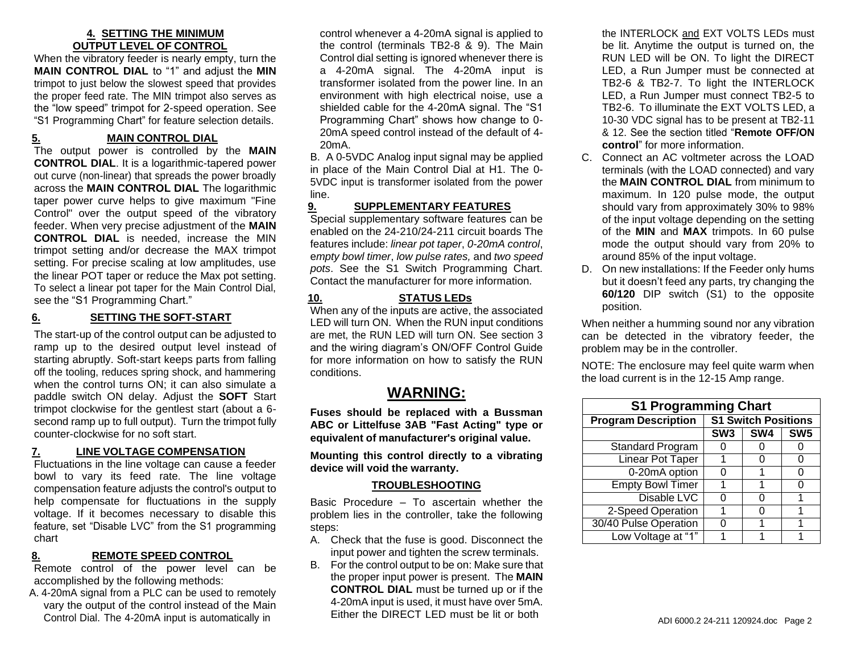#### **4. SETTING THE MINIMUM OUTPUT LEVEL OF CONTROL**

When the vibratory feeder is nearly empty, turn the **MAIN CONTROL DIAL** to "1" and adjust the **MIN** trimpot to just below the slowest speed that provides the proper feed rate. The MIN trimpot also serves as the "low speed" trimpot for 2-speed operation. See "S1 Programming Chart" for feature selection details.

# **5. MAIN CONTROL DIAL**

The output power is controlled by the **MAIN CONTROL DIAL**. It is a logarithmic-tapered power out curve (non-linear) that spreads the power broadly across the **MAIN CONTROL DIAL** The logarithmic taper power curve helps to give maximum "Fine Control" over the output speed of the vibratory feeder. When very precise adjustment of the **MAIN CONTROL DIAL** is needed, increase the MIN trimpot setting and/or decrease the MAX trimpot setting. For precise scaling at low amplitudes, use the linear POT taper or reduce the Max pot setting. To select a linear pot taper for the Main Control Dial, see the "S1 Programming Chart."

### **6. SETTING THE SOFT-START**

The start-up of the control output can be adjusted to ramp up to the desired output level instead of starting abruptly. Soft-start keeps parts from falling off the tooling, reduces spring shock, and hammering when the control turns ON; it can also simulate a paddle switch ON delay. Adjust the **SOFT** Start trimpot clockwise for the gentlest start (about a 6 second ramp up to full output). Turn the trimpot fully counter-clockwise for no soft start.

#### **7. LINE VOLTAGE COMPENSATION**

Fluctuations in the line voltage can cause a feeder bowl to vary its feed rate. The line voltage compensation feature adjusts the control's output to help compensate for fluctuations in the supply voltage. If it becomes necessary to disable this feature, set "Disable LVC" from the S1 programming chart

#### **8. REMOTE SPEED CONTROL**

Remote control of the power level can be accomplished by the following methods:

A. 4-20mA signal from a PLC can be used to remotely vary the output of the control instead of the Main Control Dial. The 4-20mA input is automatically in

control whenever a 4-20mA signal is applied to the control (terminals TB2-8 & 9). The Main Control dial setting is ignored whenever there is a 4-20mA signal. The 4-20mA input is transformer isolated from the power line. In an environment with high electrical noise, use a shielded cable for the 4-20mA signal. The "S1 Programming Chart" shows how change to 0- 20mA speed control instead of the default of 4- 20mA.

B. A 0-5VDC Analog input signal may be applied in place of the Main Control Dial at H1. The 0- 5VDC input is transformer isolated from the power line.

#### **9. SUPPLEMENTARY FEATURES**

Special supplementary software features can be enabled on the 24-210/24-211 circuit boards The features include: *linear pot taper*, *0-20mA control*, e*mpty bowl timer*, *low pulse rates,* and *two speed pots*. See the S1 Switch Programming Chart. Contact the manufacturer for more information.

## **10. STATUS LEDs**

When any of the inputs are active, the associated LED will turn ON. When the RUN input conditions are met, the RUN LED will turn ON. See section 3 and the wiring diagram's ON/OFF Control Guide for more information on how to satisfy the RUN conditions.

# **WARNING:**

**Fuses should be replaced with a Bussman ABC or Littelfuse 3AB "Fast Acting" type or equivalent of manufacturer's original value.**

**Mounting this control directly to a vibrating device will void the warranty.**

#### **TROUBLESHOOTING**

Basic Procedure – To ascertain whether the problem lies in the controller, take the following steps:

- A. Check that the fuse is good. Disconnect the input power and tighten the screw terminals.
- B. For the control output to be on: Make sure that the proper input power is present. The **MAIN CONTROL DIAL** must be turned up or if the 4-20mA input is used, it must have over 5mA. Either the DIRECT LED must be lit or both

the INTERLOCK and EXT VOLTS LEDs must be lit. Anytime the output is turned on, the RUN LED will be ON. To light the DIRECT LED, a Run Jumper must be connected at TB2-6 & TB2-7. To light the INTERLOCK LED, a Run Jumper must connect TB2-5 to TB2-6. To illuminate the EXT VOLTS LED, a 10-30 VDC signal has to be present at TB2-11 & 12. See the section titled "**Remote OFF/ON control**" for more information.

- C. Connect an AC voltmeter across the LOAD terminals (with the LOAD connected) and vary the **MAIN CONTROL DIAL** from minimum to maximum. In 120 pulse mode, the output should vary from approximately 30% to 98% of the input voltage depending on the setting of the **MIN** and **MAX** trimpots. In 60 pulse mode the output should vary from 20% to around 85% of the input voltage.
- D. On new installations: If the Feeder only hums but it doesn't feed any parts, try changing the **60/120** DIP switch (S1) to the opposite position.

When neither a humming sound nor any vibration can be detected in the vibratory feeder, the problem may be in the controller.

NOTE: The enclosure may feel quite warm when the load current is in the 12-15 Amp range.

| <b>S1 Programming Chart</b> |                            |                 |                 |
|-----------------------------|----------------------------|-----------------|-----------------|
| <b>Program Description</b>  | <b>S1 Switch Positions</b> |                 |                 |
|                             | SW <sub>3</sub>            | SW <sub>4</sub> | SW <sub>5</sub> |
| <b>Standard Program</b>     |                            |                 |                 |
| <b>Linear Pot Taper</b>     |                            |                 |                 |
| 0-20mA option               | O                          |                 | 0               |
| <b>Empty Bowl Timer</b>     |                            |                 | O               |
| Disable LVC                 | O                          | O               | 1               |
| 2-Speed Operation           |                            |                 | 1               |
| 30/40 Pulse Operation       |                            |                 |                 |
| Low Voltage at "1"          |                            |                 |                 |